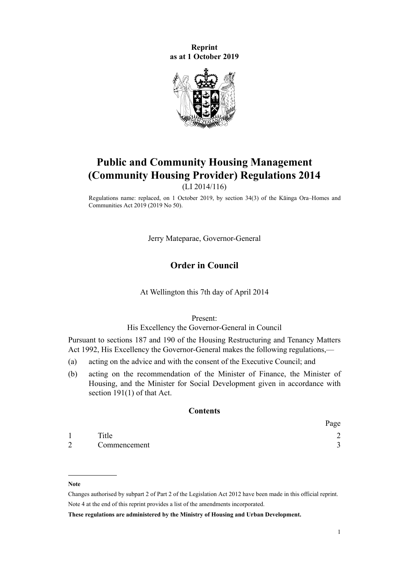**Reprint as at 1 October 2019**



# **Public and Community Housing Management (Community Housing Provider) Regulations 2014**

(LI 2014/116)

Regulations name: replaced, on 1 October 2019, by [section 34\(3\)](http://legislation.govt.nz/pdflink.aspx?id=LMS194689) of the Kāinga Ora–Homes and Communities Act 2019 (2019 No 50).

Jerry Mateparae, Governor-General

# **Order in Council**

#### At Wellington this 7th day of April 2014

Present:

#### His Excellency the Governor-General in Council

Pursuant to [sections 187](http://legislation.govt.nz/pdflink.aspx?id=DLM5772945) and [190](http://legislation.govt.nz/pdflink.aspx?id=DLM5772949) of the [Housing Restructuring and Tenancy Matters](http://legislation.govt.nz/pdflink.aspx?id=DLM269427) [Act 1992,](http://legislation.govt.nz/pdflink.aspx?id=DLM269427) His Excellency the Governor-General makes the following regulations,—

- (a) acting on the advice and with the consent of the Executive Council; and
- (b) acting on the recommendation of the Minister of Finance, the Minister of Housing, and the Minister for Social Development given in accordance with [section 191\(1\)](http://legislation.govt.nz/pdflink.aspx?id=DLM5772950) of that Act.

# **Contents**

|   |              | Page   |
|---|--------------|--------|
|   | Title        | ⌒      |
| 2 | Commencement | $\sim$ |

#### **Note**

Changes authorised by [subpart 2](http://legislation.govt.nz/pdflink.aspx?id=DLM2998524) of Part 2 of the Legislation Act 2012 have been made in this official reprint. Note 4 at the end of this reprint provides a list of the amendments incorporated.

**These regulations are administered by the Ministry of Housing and Urban Development.**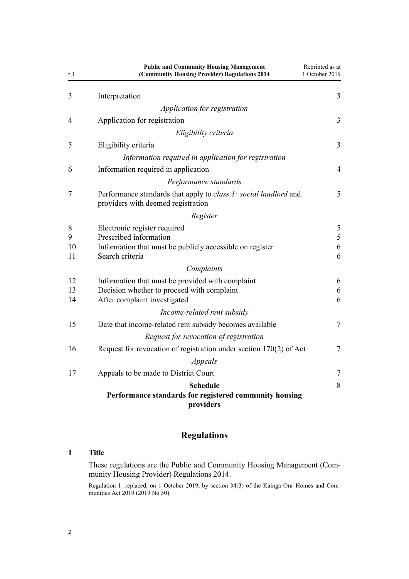<span id="page-1-0"></span>

| r 1            | <b>Public and Community Housing Management</b><br>(Community Housing Provider) Regulations 2014                                | Reprinted as at<br>1 October 2019 |
|----------------|--------------------------------------------------------------------------------------------------------------------------------|-----------------------------------|
| 3              | Interpretation                                                                                                                 | 3                                 |
|                | Application for registration                                                                                                   |                                   |
| 4              | Application for registration                                                                                                   | 3                                 |
|                | Eligibility criteria                                                                                                           |                                   |
| 5              | Eligibility criteria                                                                                                           | 3                                 |
|                | Information required in application for registration                                                                           |                                   |
| 6              | Information required in application                                                                                            | $\overline{4}$                    |
|                | Performance standards                                                                                                          |                                   |
| 7              | Performance standards that apply to class 1: social landlord and<br>providers with deemed registration                         | 5                                 |
|                | Register                                                                                                                       |                                   |
| 8<br>9<br>10   | Electronic register required<br>Prescribed information<br>Information that must be publicly accessible on register             | 5<br>5<br>6                       |
| 11             | Search criteria                                                                                                                | 6                                 |
|                | Complaints                                                                                                                     |                                   |
| 12<br>13<br>14 | Information that must be provided with complaint<br>Decision whether to proceed with complaint<br>After complaint investigated | 6<br>6<br>6                       |
|                | Income-related rent subsidy                                                                                                    |                                   |
| 15             | Date that income-related rent subsidy becomes available                                                                        | $\overline{7}$                    |
|                | Request for revocation of registration                                                                                         |                                   |
| 16             | Request for revocation of registration under section $170(2)$ of Act                                                           | $\overline{7}$                    |
|                | Appeals                                                                                                                        |                                   |
| 17             | Appeals to be made to District Court                                                                                           | $\overline{7}$                    |
|                | <b>Schedule</b>                                                                                                                | 8                                 |
|                | Performance standards for registered community housing<br>providers                                                            |                                   |

# **Regulations**

# **1 Title**

These regulations are the Public and Community Housing Management (Community Housing Provider) Regulations 2014.

Regulation 1: replaced, on 1 October 2019, by [section 34\(3\)](http://legislation.govt.nz/pdflink.aspx?id=LMS194689) of the Kāinga Ora–Homes and Communities Act 2019 (2019 No 50).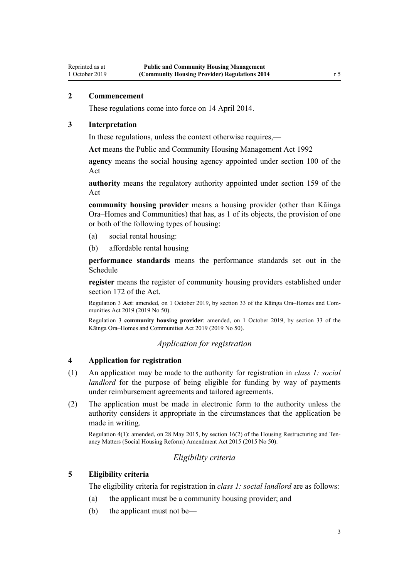# **2 Commencement**

<span id="page-2-0"></span>Reprinted as at 1 October 2019

These regulations come into force on 14 April 2014.

#### **3 Interpretation**

In these regulations, unless the context otherwise requires,—

**Act** means the [Public and Community Housing Management Act 1992](http://legislation.govt.nz/pdflink.aspx?id=DLM269427)

**agency** means the social housing agency appointed under [section 100](http://legislation.govt.nz/pdflink.aspx?id=DLM5770797) of the Act

**authority** means the regulatory authority appointed under [section 159](http://legislation.govt.nz/pdflink.aspx?id=DLM5772911) of the Act

**community housing provider** means a housing provider (other than Kāinga Ora–Homes and Communities) that has, as 1 of its objects, the provision of one or both of the following types of housing:

- (a) social rental housing:
- (b) affordable rental housing

**performance standards** means the performance standards set out in the [Schedule](#page-7-0)

**register** means the register of community housing providers established under [section 172](http://legislation.govt.nz/pdflink.aspx?id=DLM6091297) of the Act.

Regulation 3 **Act**: amended, on 1 October 2019, by [section 33](http://legislation.govt.nz/pdflink.aspx?id=LMS191136) of the Kāinga Ora–Homes and Communities Act 2019 (2019 No 50).

Regulation 3 **community housing provider**: amended, on 1 October 2019, by [section 33](http://legislation.govt.nz/pdflink.aspx?id=LMS191136) of the Kāinga Ora–Homes and Communities Act 2019 (2019 No 50).

# *Application for registration*

## **4 Application for registration**

- (1) An application may be made to the authority for registration in *class 1: social landlord* for the purpose of being eligible for funding by way of payments under reimbursement agreements and tailored agreements.
- (2) The application must be made in electronic form to the authority unless the authority considers it appropriate in the circumstances that the application be made in writing.

Regulation 4(1): amended, on 28 May 2015, by [section 16\(2\)](http://legislation.govt.nz/pdflink.aspx?id=DLM6481241) of the Housing Restructuring and Tenancy Matters (Social Housing Reform) Amendment Act 2015 (2015 No 50).

# *Eligibility criteria*

#### **5 Eligibility criteria**

The eligibility criteria for registration in *class 1: social landlord* are as follows:

- (a) the applicant must be a community housing provider; and
- (b) the applicant must not be—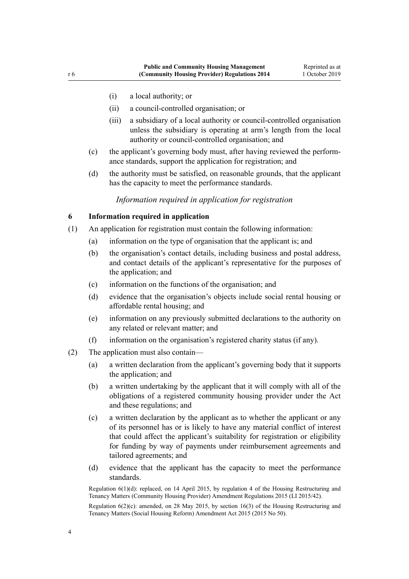- <span id="page-3-0"></span>(i) a local authority; or
- (ii) a council-controlled organisation; or
- (iii) a subsidiary of a local authority or council-controlled organisation unless the subsidiary is operating at arm's length from the local authority or council-controlled organisation; and
- (c) the applicant's governing body must, after having reviewed the performance standards, support the application for registration; and
- (d) the authority must be satisfied, on reasonable grounds, that the applicant has the capacity to meet the performance standards.

# *Information required in application for registration*

# **6 Information required in application**

- (1) An application for registration must contain the following information:
	- (a) information on the type of organisation that the applicant is; and
	- (b) the organisation's contact details, including business and postal address, and contact details of the applicant's representative for the purposes of the application; and
	- (c) information on the functions of the organisation; and
	- (d) evidence that the organisation's objects include social rental housing or affordable rental housing; and
	- (e) information on any previously submitted declarations to the authority on any related or relevant matter; and
	- (f) information on the organisation's registered charity status (if any).
- (2) The application must also contain—
	- (a) a written declaration from the applicant's governing body that it supports the application; and
	- (b) a written undertaking by the applicant that it will comply with all of the obligations of a registered community housing provider under the Act and these regulations; and
	- (c) a written declaration by the applicant as to whether the applicant or any of its personnel has or is likely to have any material conflict of interest that could affect the applicant's suitability for registration or eligibility for funding by way of payments under reimbursement agreements and tailored agreements; and
	- (d) evidence that the applicant has the capacity to meet the performance standards.

Regulation 6(1)(d): replaced, on 14 April 2015, by [regulation 4](http://legislation.govt.nz/pdflink.aspx?id=DLM6389908) of the Housing Restructuring and Tenancy Matters (Community Housing Provider) Amendment Regulations 2015 (LI 2015/42).

Regulation  $6(2)(c)$ : amended, on 28 May 2015, by [section 16\(3\)](http://legislation.govt.nz/pdflink.aspx?id=DLM6481241) of the Housing Restructuring and Tenancy Matters (Social Housing Reform) Amendment Act 2015 (2015 No 50).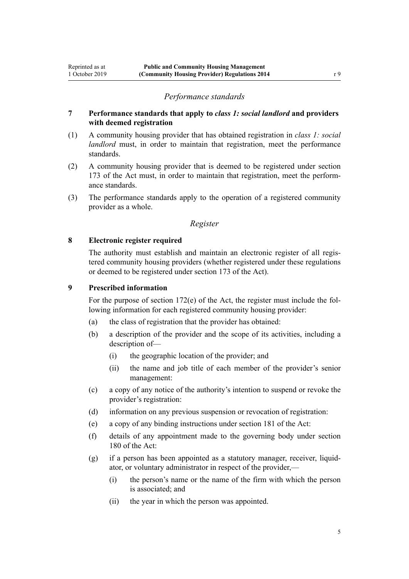# **7 Performance standards that apply to** *class 1: social landlord* **and providers with deemed registration**

- (1) A community housing provider that has obtained registration in *class 1: social landlord* must, in order to maintain that registration, meet the performance standards.
- (2) A community housing provider that is deemed to be registered under [section](http://legislation.govt.nz/pdflink.aspx?id=DLM6091298) [173](http://legislation.govt.nz/pdflink.aspx?id=DLM6091298) of the Act must, in order to maintain that registration, meet the performance standards.
- (3) The performance standards apply to the operation of a registered community provider as a whole.

# *Register*

# **8 Electronic register required**

<span id="page-4-0"></span>Reprinted as at 1 October 2019

> The authority must establish and maintain an electronic register of all registered community housing providers (whether registered under these regulations or deemed to be registered under [section 173](http://legislation.govt.nz/pdflink.aspx?id=DLM6091298) of the Act).

# **9 Prescribed information**

For the purpose of [section 172\(e\)](http://legislation.govt.nz/pdflink.aspx?id=DLM6091297) of the Act, the register must include the following information for each registered community housing provider:

- (a) the class of registration that the provider has obtained:
- (b) a description of the provider and the scope of its activities, including a description of—
	- (i) the geographic location of the provider; and
	- (ii) the name and job title of each member of the provider's senior management:
- (c) a copy of any notice of the authority's intention to suspend or revoke the provider's registration:
- (d) information on any previous suspension or revocation of registration:
- (e) a copy of any binding instructions under [section 181](http://legislation.govt.nz/pdflink.aspx?id=DLM6091709) of the Act:
- (f) details of any appointment made to the governing body under [section](http://legislation.govt.nz/pdflink.aspx?id=DLM6091708) [180](http://legislation.govt.nz/pdflink.aspx?id=DLM6091708) of the Act:
- (g) if a person has been appointed as a statutory manager, receiver, liquidator, or voluntary administrator in respect of the provider,—
	- (i) the person's name or the name of the firm with which the person is associated; and
	- (ii) the year in which the person was appointed.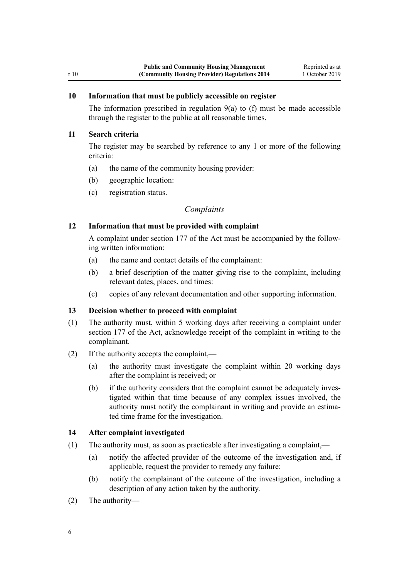# <span id="page-5-0"></span>**10 Information that must be publicly accessible on register**

The information prescribed in regulation  $9(a)$  to (f) must be made accessible through the register to the public at all reasonable times.

# **11 Search criteria**

The register may be searched by reference to any 1 or more of the following criteria:

- (a) the name of the community housing provider:
- (b) geographic location:
- (c) registration status.

# *Complaints*

# **12 Information that must be provided with complaint**

A complaint under [section 177](http://legislation.govt.nz/pdflink.aspx?id=DLM6091703) of the Act must be accompanied by the following written information:

- (a) the name and contact details of the complainant:
- (b) a brief description of the matter giving rise to the complaint, including relevant dates, places, and times:
- (c) copies of any relevant documentation and other supporting information.

# **13 Decision whether to proceed with complaint**

- (1) The authority must, within 5 working days after receiving a complaint under [section 177](http://legislation.govt.nz/pdflink.aspx?id=DLM6091703) of the Act, acknowledge receipt of the complaint in writing to the complainant.
- (2) If the authority accepts the complaint,—
	- (a) the authority must investigate the complaint within 20 working days after the complaint is received; or
	- (b) if the authority considers that the complaint cannot be adequately investigated within that time because of any complex issues involved, the authority must notify the complainant in writing and provide an estimated time frame for the investigation.

# **14 After complaint investigated**

- (1) The authority must, as soon as practicable after investigating a complaint,—
	- (a) notify the affected provider of the outcome of the investigation and, if applicable, request the provider to remedy any failure:
	- (b) notify the complainant of the outcome of the investigation, including a description of any action taken by the authority.
- (2) The authority—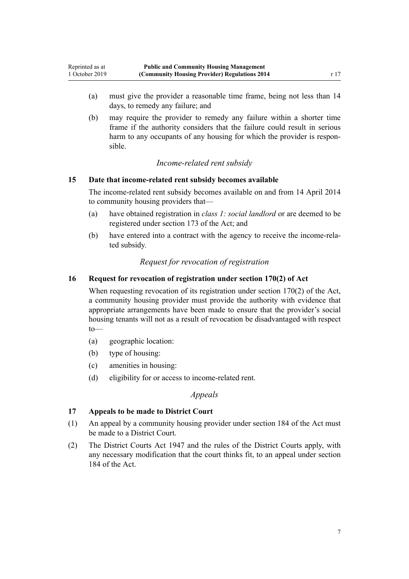<span id="page-6-0"></span>(b) may require the provider to remedy any failure within a shorter time frame if the authority considers that the failure could result in serious harm to any occupants of any housing for which the provider is responsible.

# *Income-related rent subsidy*

# **15 Date that income-related rent subsidy becomes available**

The income-related rent subsidy becomes available on and from 14 April 2014 to community housing providers that—

- (a) have obtained registration in *class 1: social landlord* or are deemed to be registered under [section 173](http://legislation.govt.nz/pdflink.aspx?id=DLM6091298) of the Act; and
- (b) have entered into a contract with the agency to receive the income-related subsidy.

# *Request for revocation of registration*

# **16 Request for revocation of registration under section 170(2) of Act**

When requesting revocation of its registration under [section 170\(2\)](http://legislation.govt.nz/pdflink.aspx?id=DLM6091295) of the Act, a community housing provider must provide the authority with evidence that appropriate arrangements have been made to ensure that the provider's social housing tenants will not as a result of revocation be disadvantaged with respect to—

- (a) geographic location:
- (b) type of housing:
- (c) amenities in housing:
- (d) eligibility for or access to income-related rent.

*Appeals*

# **17 Appeals to be made to District Court**

- (1) An appeal by a community housing provider under [section 184](http://legislation.govt.nz/pdflink.aspx?id=DLM6091714) of the Act must be made to a District Court.
- (2) The District Courts Act 1947 and the rules of the District Courts apply, with any necessary modification that the court thinks fit, to an appeal under [section](http://legislation.govt.nz/pdflink.aspx?id=DLM6091714) [184](http://legislation.govt.nz/pdflink.aspx?id=DLM6091714) of the Act.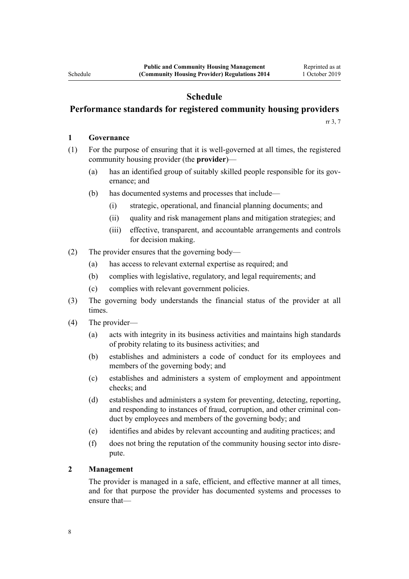# **Schedule**

# **Performance standards for registered community housing providers**

[rr 3](#page-2-0), [7](#page-4-0)

# **1 Governance**

<span id="page-7-0"></span>Schedule

- (1) For the purpose of ensuring that it is well-governed at all times, the registered community housing provider (the **provider**)—
	- (a) has an identified group of suitably skilled people responsible for its governance; and
	- (b) has documented systems and processes that include—
		- (i) strategic, operational, and financial planning documents; and
		- (ii) quality and risk management plans and mitigation strategies; and
		- (iii) effective, transparent, and accountable arrangements and controls for decision making.
- (2) The provider ensures that the governing body—
	- (a) has access to relevant external expertise as required; and
	- (b) complies with legislative, regulatory, and legal requirements; and
	- (c) complies with relevant government policies.
- (3) The governing body understands the financial status of the provider at all times.
- (4) The provider—
	- (a) acts with integrity in its business activities and maintains high standards of probity relating to its business activities; and
	- (b) establishes and administers a code of conduct for its employees and members of the governing body; and
	- (c) establishes and administers a system of employment and appointment checks; and
	- (d) establishes and administers a system for preventing, detecting, reporting, and responding to instances of fraud, corruption, and other criminal conduct by employees and members of the governing body; and
	- (e) identifies and abides by relevant accounting and auditing practices; and
	- (f) does not bring the reputation of the community housing sector into disrepute.

# **2 Management**

The provider is managed in a safe, efficient, and effective manner at all times, and for that purpose the provider has documented systems and processes to ensure that—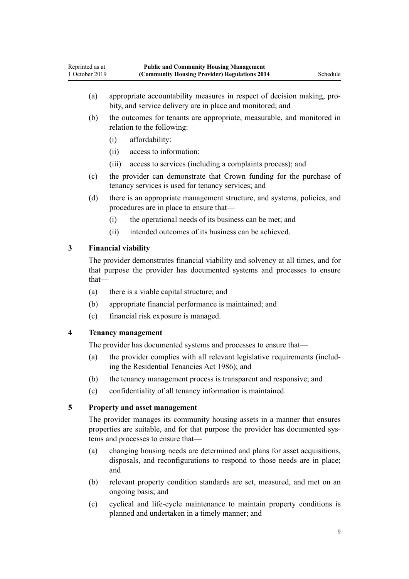- (a) appropriate accountability measures in respect of decision making, probity, and service delivery are in place and monitored; and
- (b) the outcomes for tenants are appropriate, measurable, and monitored in relation to the following:
	- (i) affordability:
	- (ii) access to information:
	- (iii) access to services (including a complaints process); and
- (c) the provider can demonstrate that Crown funding for the purchase of tenancy services is used for tenancy services; and
- (d) there is an appropriate management structure, and systems, policies, and procedures are in place to ensure that—
	- (i) the operational needs of its business can be met; and
	- (ii) intended outcomes of its business can be achieved.

# **3 Financial viability**

The provider demonstrates financial viability and solvency at all times, and for that purpose the provider has documented systems and processes to ensure that—

- (a) there is a viable capital structure; and
- (b) appropriate financial performance is maintained; and
- (c) financial risk exposure is managed.

# **4 Tenancy management**

The provider has documented systems and processes to ensure that—

- (a) the provider complies with all relevant legislative requirements (including the [Residential Tenancies Act 1986](http://legislation.govt.nz/pdflink.aspx?id=DLM94277)); and
- (b) the tenancy management process is transparent and responsive; and
- (c) confidentiality of all tenancy information is maintained.

# **5 Property and asset management**

The provider manages its community housing assets in a manner that ensures properties are suitable, and for that purpose the provider has documented systems and processes to ensure that—

- (a) changing housing needs are determined and plans for asset acquisitions, disposals, and reconfigurations to respond to those needs are in place; and
- (b) relevant property condition standards are set, measured, and met on an ongoing basis; and
- (c) cyclical and life-cycle maintenance to maintain property conditions is planned and undertaken in a timely manner; and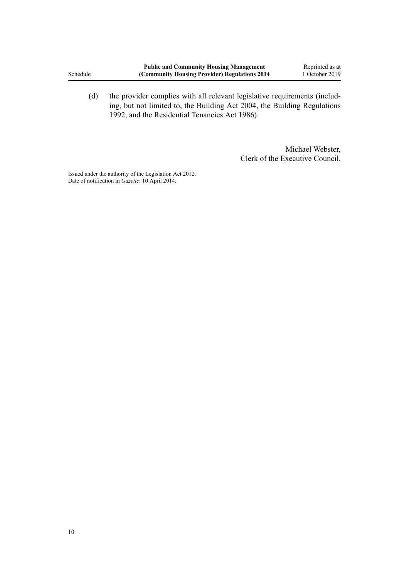(d) the provider complies with all relevant legislative requirements (including, but not limited to, the [Building Act 2004](http://legislation.govt.nz/pdflink.aspx?id=DLM306035), the [Building Regulations](http://legislation.govt.nz/pdflink.aspx?id=DLM162569) [1992](http://legislation.govt.nz/pdflink.aspx?id=DLM162569), and the [Residential Tenancies Act 1986](http://legislation.govt.nz/pdflink.aspx?id=DLM94277)).

> Michael Webster, Clerk of the Executive Council.

Issued under the authority of the [Legislation Act 2012](http://legislation.govt.nz/pdflink.aspx?id=DLM2997643). Date of notification in *Gazette*: 10 April 2014.

Schedule